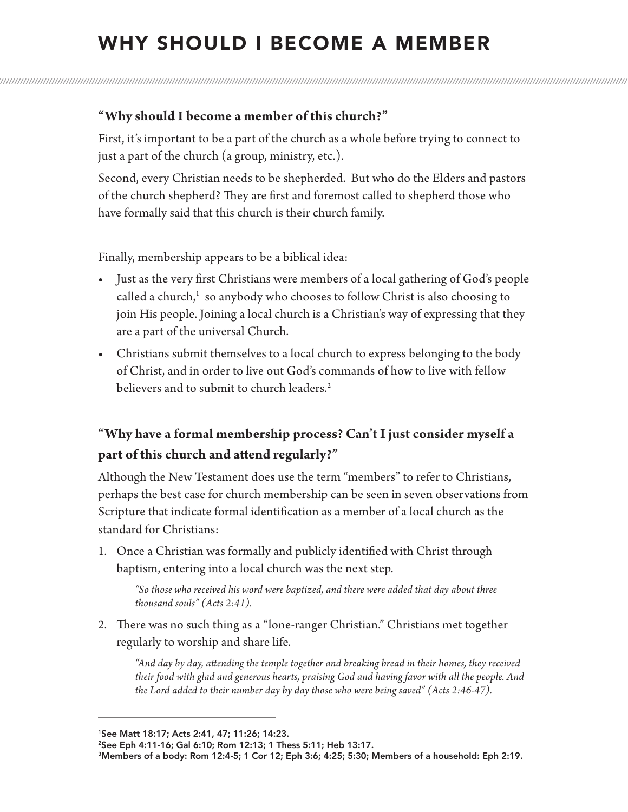## WHY SHOULD I BECOME A MEMBER

## **"Why should I become a member of this church?"**

First, it's important to be a part of the church as a whole before trying to connect to just a part of the church (a group, ministry, etc.).

Second, every Christian needs to be shepherded. But who do the Elders and pastors of the church shepherd? They are first and foremost called to shepherd those who have formally said that this church is their church family.

Finally, membership appears to be a biblical idea:

- Just as the very first Christians were members of a local gathering of God's people called a church,<sup>1</sup> so anybody who chooses to follow Christ is also choosing to join His people. Joining a local church is a Christian's way of expressing that they are a part of the universal Church.
- Christians submit themselves to a local church to express belonging to the body of Christ, and in order to live out God's commands of how to live with fellow believers and to submit to church leaders.<sup>2</sup>

## **"Why have a formal membership process? Can't I just consider myself a part of this church and attend regularly?"**

Although the New Testament does use the term "members" to refer to Christians, perhaps the best case for church membership can be seen in seven observations from Scripture that indicate formal identification as a member of a local church as the standard for Christians:

1. Once a Christian was formally and publicly identified with Christ through baptism, entering into a local church was the next step.

*"So those who received his word were baptized, and there were added that day about three thousand souls" (Acts 2:41).*

2. There was no such thing as a "lone-ranger Christian." Christians met together regularly to worship and share life.

*"And day by day, attending the temple together and breaking bread in their homes, they received their food with glad and generous hearts, praising God and having favor with all the people. And the Lord added to their number day by day those who were being saved" (Acts 2:46-47).*

1See Matt 18:17; Acts 2:41, 47; 11:26; 14:23.

<sup>2</sup>See Eph 4:11-16; Gal 6:10; Rom 12:13; 1 Thess 5:11; Heb 13:17.

<sup>3</sup>Members of a body: Rom 12:4-5; 1 Cor 12; Eph 3:6; 4:25; 5:30; Members of a household: Eph 2:19.